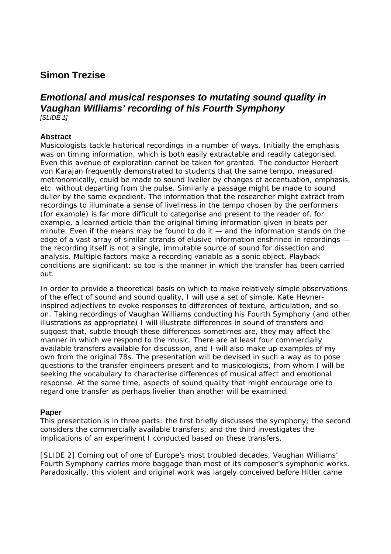## **Simon Trezise**

## *Emotional and musical responses to mutating sound quality in Vaughan Williams' recording of his Fourth Symphony [SLIDE 1]*

## **Abstract**

Musicologists tackle historical recordings in a number of ways. Initially the emphasis was on timing information, which is both easily extractable and readily categorised. Even this avenue of exploration cannot be taken for granted. The conductor Herbert von Karajan frequently demonstrated to students that the same tempo, measured metronomically, could be made to sound livelier by changes of accentuation, emphasis, etc. without departing from the pulse. Similarly a passage might be made to sound duller by the same expedient. The information that the researcher might extract from recordings to illuminate a sense of liveliness in the tempo chosen by the performers (for example) is far more difficult to categorise and present to the reader of, for example, a learned article than the original timing information given in beats per minute. Even if the means may be found to do it — and the information stands on the edge of a vast array of similar strands of elusive information enshrined in recordings the recording itself is not a single, immutable source of sound for dissection and analysis. Multiple factors make a recording variable as a sonic object. Playback conditions are significant; so too is the manner in which the transfer has been carried out.

In order to provide a theoretical basis on which to make relatively simple observations of the effect of sound and sound quality, I will use a set of simple, Kate Hevnerinspired adjectives to evoke responses to differences of texture, articulation, and so on. Taking recordings of Vaughan Williams conducting his Fourth Symphony (and other illustrations as appropriate) I will illustrate differences in sound of transfers and suggest that, subtle though these differences sometimes are, they may affect the manner in which we respond to the music. There are at least four commercially available transfers available for discussion, and I will also make up examples of my own from the original 78s. The presentation will be devised in such a way as to pose questions to the transfer engineers present and to musicologists, from whom I will be seeking the vocabulary to characterise differences of musical affect and emotional response. At the same time, aspects of sound quality that might encourage one to regard one transfer as perhaps livelier than another will be examined.

## **Paper**

This presentation is in three parts: the first briefly discusses the symphony; the second considers the commercially available transfers; and the third investigates the implications of an experiment I conducted based on these transfers.

*[SLIDE 2]* Coming out of one of Europe's most troubled decades, Vaughan Williams' Fourth Symphony carries more baggage than most of its composer's symphonic works. Paradoxically, this violent and original work was largely conceived before Hitler came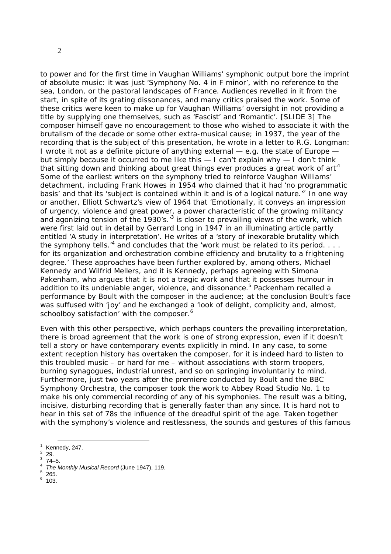2

to power and for the first time in Vaughan Williams' symphonic output bore the imprint of absolute music: it was just 'Symphony No. 4 in F minor', with no reference to the sea, London, or the pastoral landscapes of France. Audiences revelled in it from the start, in spite of its grating dissonances, and many critics praised the work. Some of these critics were keen to make up for Vaughan Williams' oversight in not providing a title by supplying one themselves, such as 'Fascist' and 'Romantic'. *[SLIDE 3]* The composer himself gave no encouragement to those who wished to associate it with the brutalism of the decade or some other extra-musical cause; in 1937, the year of the recording that is the subject of this presentation, he wrote in a letter to R.G. Longman: I wrote it not as a definite picture of anything external — e.g. the state of Europe but simply because it occurred to me like this — I can't explain why — I don't think that sitting down and thinking about great things ever produces a great work of  $art<sup>1</sup>$ Some of the earliest writers on the symphony tried to reinforce Vaughan Williams' detachment, including Frank Howes in 1954 who claimed that it had 'no programmatic basis' and that its 'subject is contained within it and is of a logical nature.<sup>'2</sup> In one way or another, Elliott Schwartz's view of 1964 that 'Emotionally, it conveys an impression of urgency, violence and great power, a power characteristic of the growing militancy and agonizing tension of the 1930's.<sup>3</sup> is closer to prevailing views of the work, which were first laid out in detail by Gerrard Long in 1947 in an illuminating article partly entitled 'A study in interpretation'. He writes of a 'story of inexorable brutality which the symphony tells.<sup>4</sup> and concludes that the 'work must be related to its period.  $\dots$ for its organization and orchestration combine efficiency and brutality to a frightening degree.' These approaches have been further explored by, among others, Michael Kennedy and Wilfrid Mellers, and it is Kennedy, perhaps agreeing with Simona Pakenham, who argues that it is not a tragic work and that it possesses humour in addition to its undeniable anger, violence, and dissonance.<sup>5</sup> Packenham recalled a performance by Boult with the composer in the audience; at the conclusion Boult's face was suffused with 'joy' and he exchanged a 'look of delight, complicity and, almost, schoolboy satisfaction' with the composer.<sup>6</sup>

Even with this other perspective, which perhaps counters the prevailing interpretation, there is broad agreement that the work is one of strong expression, even if it doesn't tell a story or have contemporary events explicitly in mind. In any case, to some extent reception history has overtaken the composer, for it is indeed hard to listen to this troubled music – or hard for me – without associations with storm troopers, burning synagogues, industrial unrest, and so on springing involuntarily to mind. Furthermore, just two years after the premiere conducted by Boult and the BBC Symphony Orchestra, the composer took the work to Abbey Road Studio No. 1 to make his only commercial recording of any of his symphonies. The result was a biting, incisive, disturbing recording that is generally faster than any since. It is hard not to hear in this set of 78s the influence of the dreadful spirit of the age. Taken together with the symphony's violence and restlessness, the sounds and gestures of this famous

 29. 3

° 265.<br><sup>6</sup> 103.

 $\frac{1}{1}$  Kennedy, 247.  $\overline{2}$ 

 <sup>74–5.</sup> 

<sup>&</sup>lt;sup>4</sup> The Monthly Musical Record (June 1947), 119.<br>5 265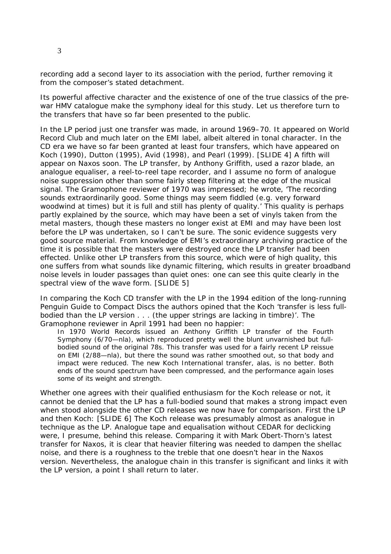recording add a second layer to its association with the period, further removing it from the composer's stated detachment.

Its powerful affective character and the existence of one of the true classics of the prewar HMV catalogue make the symphony ideal for this study. Let us therefore turn to the transfers that have so far been presented to the public.

In the LP period just one transfer was made, in around 1969–70. It appeared on World Record Club and much later on the EMI label, albeit altered in tonal character. In the CD era we have so far been granted at least four transfers, which have appeared on Koch (1990), Dutton (1995), Avid (1998), and Pearl (1999). *[SLIDE 4]* A fifth will appear on Naxos soon. The LP transfer, by Anthony Griffith, used a razor blade, an analogue equaliser, a reel-to-reel tape recorder, and I assume no form of analogue noise suppression other than some fairly steep filtering at the edge of the musical signal. The *Gramophone* reviewer of 1970 was impressed; he wrote, 'The recording sounds extraordinarily good. Some things may seem fiddled (e.g. very forward woodwind at times) but it is full and still has plenty of quality.' This quality is perhaps partly explained by the source, which may have been a set of vinyls taken from the metal masters, though these masters no longer exist at EMI and may have been lost before the LP was undertaken, so I can't be sure. The sonic evidence suggests very good source material. From knowledge of EMI's extraordinary archiving practice of the time it is possible that the masters were destroyed once the LP transfer had been effected. Unlike other LP transfers from this source, which were of high quality, this one suffers from what sounds like dynamic filtering, which results in greater broadband noise levels in louder passages than quiet ones: one can see this quite clearly in the spectral view of the wave form. *[SLIDE 5]*

In comparing the Koch CD transfer with the LP in the 1994 edition of the long-running *Penguin Guide to Compact Discs* the authors opined that the Koch 'transfer is less fullbodied than the LP version . . . (the upper strings are lacking in timbre)'. The *Gramophone* reviewer in April 1991 had been no happier:

In 1970 World Records issued an Anthony Griffith LP transfer of the Fourth Symphony (6/70—nla), which reproduced pretty well the blunt unvarnished but fullbodied sound of the original 78s. This transfer was used for a fairly recent LP reissue on EMI (2/88—nla), but there the sound was rather smoothed out, so that body and impact were reduced. The new Koch International transfer, alas, is no better. Both ends of the sound spectrum have been compressed, and the performance again loses some of its weight and strength.

Whether one agrees with their qualified enthusiasm for the Koch release or not, it cannot be denied that the LP has a full-bodied sound that makes a strong impact even when stood alongside the other CD releases we now have for comparison. First the LP and then Koch: *[SLIDE 6]* The Koch release was presumably almost as analogue in technique as the LP. Analogue tape and equalisation without CEDAR for declicking were, I presume, behind this release. Comparing it with Mark Obert-Thorn's latest transfer for Naxos, it is clear that heavier filtering was needed to dampen the shellac noise, and there is a roughness to the treble that one doesn't hear in the Naxos version. Nevertheless, the analogue chain in this transfer is significant and links it with the LP version, a point I shall return to later.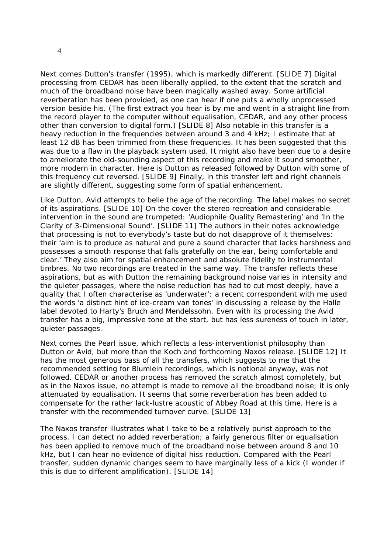Next comes Dutton's transfer (1995), which is markedly different. *[SLIDE 7]* Digital processing from CEDAR has been liberally applied, to the extent that the scratch and much of the broadband noise have been magically washed away. Some artificial reverberation has been provided, as one can hear if one puts a wholly unprocessed version beside his. (The first extract you hear is by me and went in a straight line from the record player to the computer without equalisation, CEDAR, and any other process other than conversion to digital form.) *[SLIDE 8]* Also notable in this transfer is a heavy reduction in the frequencies between around 3 and 4 kHz; I estimate that at least 12 dB has been trimmed from these frequencies. It has been suggested that this was due to a flaw in the playback system used. It might also have been due to a desire to ameliorate the old-sounding aspect of this recording and make it sound smoother, more modern in character. Here is Dutton as released followed by Dutton with some of this frequency cut reversed. *[SLIDE 9]* Finally, in this transfer left and right channels are slightly different, suggesting some form of spatial enhancement.

Like Dutton, Avid attempts to belie the age of the recording. The label makes no secret of its aspirations. *[SLIDE 10]* On the cover the stereo recreation and considerable intervention in the sound are trumpeted: 'Audiophile Quality Remastering' and 'In the Clarity of 3-Dimensional Sound'. *[SLIDE 11]* The authors in their notes acknowledge that processing is not to everybody's taste but do not disapprove of it themselves: their 'aim is to produce as natural and pure a sound character that lacks harshness and possesses a smooth response that falls gratefully on the ear, being comfortable and clear.' They also aim for spatial enhancement and absolute fidelity to instrumental timbres. No two recordings are treated in the same way. The transfer reflects these aspirations, but as with Dutton the remaining background noise varies in intensity and the quieter passages, where the noise reduction has had to cut most deeply, have a quality that I often characterise as 'underwater'; a recent correspondent with me used the words 'a distinct hint of ice-cream van tones' in discussing a release by the Halle label devoted to Harty's Bruch and Mendelssohn. Even with its processing the Avid transfer has a big, impressive tone at the start, but has less sureness of touch in later, quieter passages.

Next comes the Pearl issue, which reflects a less-interventionist philosophy than Dutton or Avid, but more than the Koch and forthcoming Naxos release. *[SLIDE 12]* It has the most generous bass of all the transfers, which suggests to me that the recommended setting for Blumlein recordings, which is notional anyway, was not followed. CEDAR or another process has removed the scratch almost completely, but as in the Naxos issue, no attempt is made to remove all the broadband noise; it is only attenuated by equalisation. It seems that some reverberation has been added to compensate for the rather lack-lustre acoustic of Abbey Road at this time. Here is a transfer with the recommended turnover curve. *[SLIDE 13]*

The Naxos transfer illustrates what I take to be a relatively purist approach to the process. I can detect no added reverberation; a fairly generous filter or equalisation has been applied to remove much of the broadband noise between around 8 and 10 kHz, but I can hear no evidence of digital hiss reduction. Compared with the Pearl transfer, sudden dynamic changes seem to have marginally less of a kick (I wonder if this is due to different amplification). *[SLIDE 14]*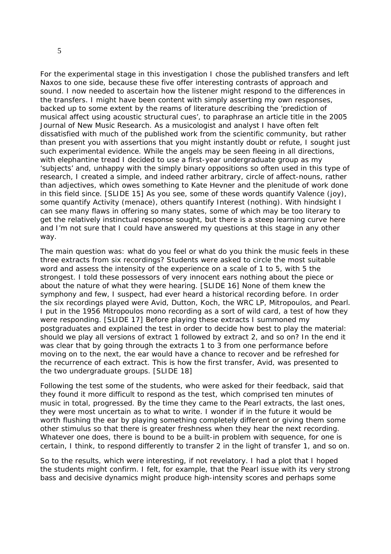For the experimental stage in this investigation I chose the published transfers and left Naxos to one side, because these five offer interesting contrasts of approach and sound. I now needed to ascertain how the listener might respond to the differences in the transfers. I might have been content with simply asserting my own responses, backed up to some extent by the reams of literature describing the 'prediction of musical affect using acoustic structural cues', to paraphrase an article title in the 2005 *Journal of New Music Research*. As a musicologist and analyst I have often felt dissatisfied with much of the published work from the scientific community, but rather than present you with assertions that you might instantly doubt or refute, I sought just such experimental evidence. While the angels may be seen fleeing in all directions, with elephantine tread I decided to use a first-year undergraduate group as my 'subjects' and, unhappy with the simply binary oppositions so often used in this type of research, I created a simple, and indeed rather arbitrary, circle of *affect-nouns*, rather than adjectives, which owes something to Kate Hevner and the plenitude of work done in this field since. *[SLIDE 15]* As you see, some of these words quantify Valence (joy), some quantify Activity (menace), others quantify Interest (nothing). With hindsight I can see many flaws in offering so many states, some of which may be too literary to get the relatively instinctual response sought, but there is a steep learning curve here and I'm not sure that I could have answered my questions at this stage in any other way.

The main question was: what do you feel or what do you think the music feels in these three extracts from six recordings? Students were asked to circle the most suitable word and assess the intensity of the experience on a scale of 1 to 5, with 5 the strongest. I told these possessors of very innocent ears nothing about the piece or about the nature of what they were hearing. *[SLIDE 16]* None of them knew the symphony and few, I suspect, had ever heard a historical recording before. In order the six recordings played were Avid, Dutton, Koch, the WRC LP, Mitropoulos, and Pearl. I put in the 1956 Mitropoulos mono recording as a sort of wild card, a test of how they were responding. *[SLIDE 17]* Before playing these extracts I summoned my postgraduates and explained the test in order to decide how best to play the material: should we play all versions of extract 1 followed by extract 2, and so on? In the end it was clear that by going through the extracts 1 to 3 from one performance before moving on to the next, the ear would have a chance to recover and be refreshed for the recurrence of each extract. This is how the first transfer, Avid, was presented to the two undergraduate groups. *[SLIDE 18]*

Following the test some of the students, who were asked for their feedback, said that they found it more difficult to respond as the test, which comprised ten minutes of music in total, progressed. By the time they came to the Pearl extracts, the last ones, they were most uncertain as to what to write. I wonder if in the future it would be worth flushing the ear by playing something completely different or giving them some other stimulus so that there is greater freshness when they hear the next recording. Whatever one does, there is bound to be a built-in problem with sequence, for one is certain, I think, to respond differently to transfer 2 in the light of transfer 1, and so on.

So to the results, which were interesting, if not revelatory. I had a plot that I hoped the students might confirm. I felt, for example, that the Pearl issue with its very strong bass and decisive dynamics might produce high-intensity scores and perhaps some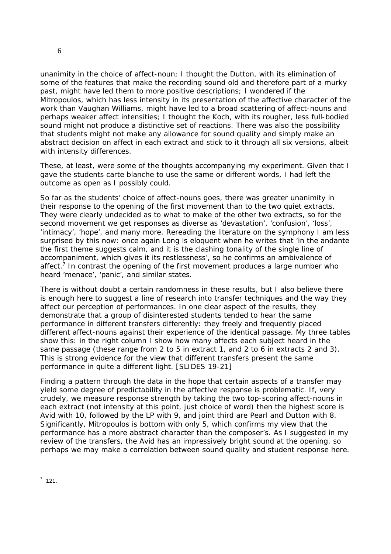unanimity in the choice of affect-noun; I thought the Dutton, with its elimination of some of the features that make the recording sound old and therefore part of a murky past, might have led them to more positive descriptions; I wondered if the Mitropoulos, which has less intensity in its presentation of the affective character of the work than Vaughan Williams, might have led to a broad scattering of affect-nouns and perhaps weaker affect intensities; I thought the Koch, with its rougher, less full-bodied sound might not produce a distinctive set of reactions. There was also the possibility that students might not make any allowance for sound quality and simply make an abstract decision on affect in each extract and stick to it through all six versions, albeit with intensity differences.

These, at least, were some of the thoughts accompanying my experiment. Given that I gave the students *carte blanche* to use the same or different words, I had left the outcome as open as I possibly could.

So far as the students' choice of affect-nouns goes, there was greater unanimity in their response to the opening of the first movement than to the two quiet extracts. They were clearly undecided as to what to make of the other two extracts, so for the second movement we get responses as diverse as 'devastation', 'confusion', 'loss', 'intimacy', 'hope', and many more. Rereading the literature on the symphony I am less surprised by this now: once again Long is eloquent when he writes that 'in the *andante* the first theme suggests calm, and it is the clashing tonality of the single line of accompaniment, which gives it its restlessness', so he confirms an ambivalence of affect.<sup>7</sup> In contrast the opening of the first movement produces a large number who heard 'menace', 'panic', and similar states.

There is without doubt a certain randomness in these results, but I also believe there is enough here to suggest a line of research into transfer techniques and the way they affect our perception of performances. In one clear aspect of the results, they demonstrate that a group of disinterested students tended to hear the same performance in different transfers differently: they freely and frequently placed different affect-nouns against their experience of the identical passage. My three tables show this: in the right column I show how many affects each subject heard in the same passage (these range from 2 to 5 in extract 1, and 2 to 6 in extracts 2 and 3). This is strong evidence for the view that different transfers present the same performance in quite a different light. *[SLIDES 19-21]*

Finding a pattern through the data in the hope that certain aspects of a transfer may yield some degree of predictability in the affective response is problematic. If, very crudely, we measure response strength by taking the two top-scoring affect-nouns in each extract (not intensity at this point, just choice of word) then the highest score is Avid with 10, followed by the LP with 9, and joint third are Pearl and Dutton with 8. Significantly, Mitropoulos is bottom with only 5, which confirms my view that the performance has a more abstract character than the composer's. As I suggested in my review of the transfers, the Avid has an impressively bright sound at the opening, so perhaps we may make a correlation between sound quality and student response here.

<sup>-&</sup>lt;br><sup>7</sup> 121.